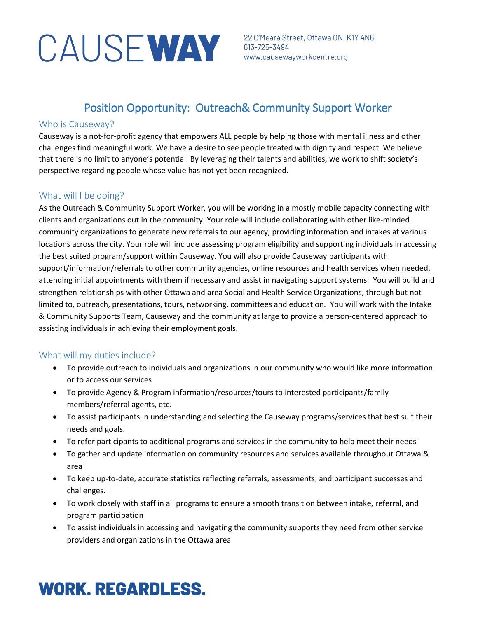# CAUSE WAY 313-725-3494<br>WAY 613-725-3494<br>WWW.causewayworkcentre.org

22 O'Meara Street, Ottawa ON, K1Y 4N6

### Position Opportunity: Outreach& Community Support Worker

#### Who is Causeway?

Causeway is a not-for-profit agency that empowers ALL people by helping those with mental illness and other challenges find meaningful work. We have a desire to see people treated with dignity and respect. We believe that there is no limit to anyone's potential. By leveraging their talents and abilities, we work to shift society's perspective regarding people whose value has not yet been recognized.

### What will I be doing?

As the Outreach & Community Support Worker, you will be working in a mostly mobile capacity connecting with clients and organizations out in the community. Your role will include collaborating with other like-minded community organizations to generate new referrals to our agency, providing information and intakes at various locations across the city. Your role will include assessing program eligibility and supporting individuals in accessing the best suited program/support within Causeway. You will also provide Causeway participants with support/information/referrals to other community agencies, online resources and health services when needed, attending initial appointments with them if necessary and assist in navigating support systems. You will build and strengthen relationships with other Ottawa and area Social and Health Service Organizations, through but not limited to, outreach, presentations, tours, networking, committees and education. You will work with the Intake & Community Supports Team, Causeway and the community at large to provide a person-centered approach to assisting individuals in achieving their employment goals.

### What will my duties include?

- To provide outreach to individuals and organizations in our community who would like more information or to access our services
- To provide Agency & Program information/resources/tours to interested participants/family members/referral agents, etc.
- To assist participants in understanding and selecting the Causeway programs/services that best suit their needs and goals.
- To refer participants to additional programs and services in the community to help meet their needs
- To gather and update information on community resources and services available throughout Ottawa & area
- To keep up-to-date, accurate statistics reflecting referrals, assessments, and participant successes and challenges.
- To work closely with staff in all programs to ensure a smooth transition between intake, referral, and program participation
- To assist individuals in accessing and navigating the community supports they need from other service providers and organizations in the Ottawa area

### **WORK. REGARDLESS.**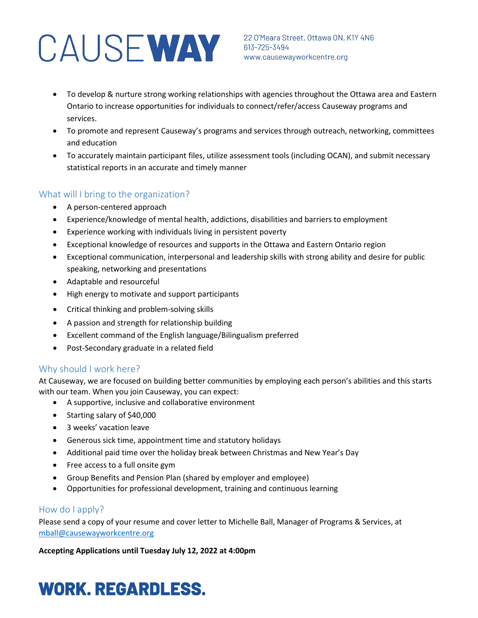# CAUSE WAY 22 O'Meara Street, Ottawa ON, K

- To develop & nurture strong working relationships with agencies throughout the Ottawa area and Eastern Ontario to increase opportunities for individuals to connect/refer/access Causeway programs and services.
- To promote and represent Causeway's programs and services through outreach, networking, committees and education
- To accurately maintain participant files, utilize assessment tools (including OCAN), and submit necessary statistical reports in an accurate and timely manner

### What will I bring to the organization?

- A person-centered approach
- Experience/knowledge of mental health, addictions, disabilities and barriers to employment
- Experience working with individuals living in persistent poverty
- Exceptional knowledge of resources and supports in the Ottawa and Eastern Ontario region
- Exceptional communication, interpersonal and leadership skills with strong ability and desire for public speaking, networking and presentations
- Adaptable and resourceful
- High energy to motivate and support participants
- Critical thinking and problem-solving skills
- A passion and strength for relationship building
- Excellent command of the English language/Bilingualism preferred
- Post-Secondary graduate in a related field

### Why should I work here?

At Causeway, we are focused on building better communities by employing each person's abilities and this starts with our team. When you join Causeway, you can expect:

- A supportive, inclusive and collaborative environment
- Starting salary of \$40,000
- 3 weeks' vacation leave
- Generous sick time, appointment time and statutory holidays
- Additional paid time over the holiday break between Christmas and New Year's Day
- Free access to a full onsite gym
- Group Benefits and Pension Plan (shared by employer and employee)
- Opportunities for professional development, training and continuous learning

### How do I apply?

Please send a copy of your resume and cover letter to Michelle Ball, Manager of Programs & Services, at [mball@causewayworkcentre.org](mailto:mball@causewayworkcentre.org)

**Accepting Applications until Tuesday July 12, 2022 at 4:00pm**

## **WORK. REGARDLESS.**